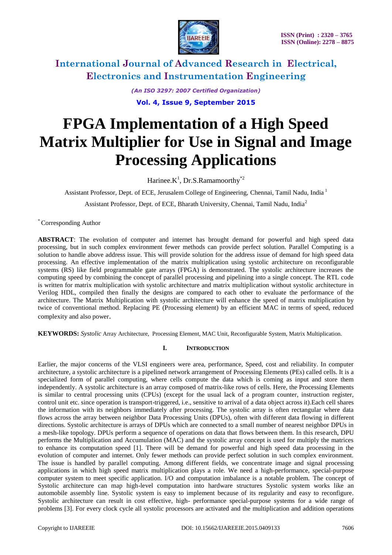

*(An ISO 3297: 2007 Certified Organization)* **Vol. 4, Issue 9, September 2015**

# **FPGA Implementation of a High Speed Matrix Multiplier for Use in Signal and Image Processing Applications**

Harinee. $K^1$ , Dr.S.Ramamoorthy<sup>\*2</sup>

Assistant Professor, Dept. of ECE, Jerusalem College of Engineering, Chennai, Tamil Nadu, India<sup>1</sup>

Assistant Professor, Dept. of ECE, Bharath University, Chennai, Tamil Nadu, India<sup>2</sup>

\* Corresponding Author

**ABSTRACT**: The evolution of computer and internet has brought demand for powerful and high speed data processing, but in such complex environment fewer methods can provide perfect solution. Parallel Computing is a solution to handle above address issue. This will provide solution for the address issue of demand for high speed data processing. An effective implementation of the matrix multiplication using systolic architecture on reconfigurable systems (RS) like field programmable gate arrays (FPGA) is demonstrated. The systolic architecture increases the computing speed by combining the concept of parallel processing and pipelining into a single concept. The RTL code is written for matrix multiplication with systolic architecture and matrix multiplication without systolic architecture in Verilog HDL, compiled then finally the designs are compared to each other to evaluate the performance of the architecture. The Matrix Multiplication with systolic architecture will enhance the speed of matrix multiplication by twice of conventional method. Replacing PE (Processing element) by an efficient MAC in terms of speed, reduced complexity and also power.

**KEYWORDS:** *Systolic* Array Architecture, Processing Element, MAC Unit, Reconfigurable System, Matrix Multiplication.

### **I. INTRODUCTION**

Earlier, the major concerns of the VLSI engineers were area, performance, Speed, cost and reliability. In computer architecture, a systolic architecture is a pipelined network arrangement of Processing Elements (PEs) called cells. It is a specialized form of parallel computing, where cells compute the data which is coming as input and store them independently. A systolic architecture is an array composed of matrix-like rows of cells. Here, the Processing Elements is similar to central processing units (CPUs) (except for the usual lack of a program counter, instruction register, control unit etc. since operation is transport-triggered, i.e., sensitive to arrival of a data object across it).Each cell shares the information with its neighbors immediately after processing. The systolic array is often rectangular where data flows across the array between neighbor Data Processing Units (DPUs), often with different data flowing in different directions. Systolic architecture is arrays of DPUs which are connected to a small number of nearest neighbor DPUs in a mesh-like topology. DPUs perform a sequence of operations on data that flows between them. In this research, DPU performs the Multiplication and Accumulation (MAC) and the systolic array concept is used for multiply the matrices to enhance its computation speed [1]. There will be demand for powerful and high speed data processing in the evolution of computer and internet. Only fewer methods can provide perfect solution in such complex environment. The issue is handled by parallel computing. Among different fields, we concentrate image and signal processing applications in which high speed matrix multiplication plays a role. We need a high-performance, special-purpose computer system to meet specific application. I/O and computation imbalance is a notable problem. The concept of Systolic architecture can map high-level computation into hardware structures Systolic system works like an automobile assembly line. Systolic system is easy to implement because of its regularity and easy to reconfigure. Systolic architecture can result in cost effective, high- performance special-purpose systems for a wide range of problems [3]. For every clock cycle all systolic processors are activated and the multiplication and addition operations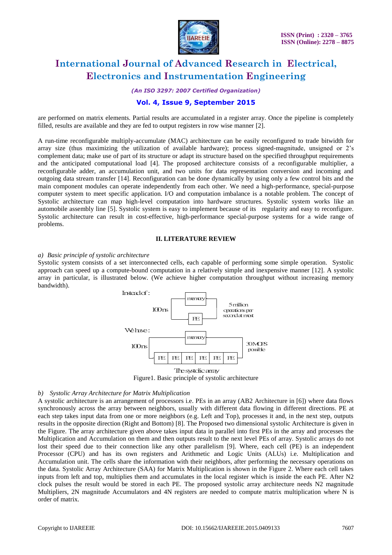

*(An ISO 3297: 2007 Certified Organization)*

### **Vol. 4, Issue 9, September 2015**

are performed on matrix elements. Partial results are accumulated in a register array. Once the pipeline is completely filled, results are available and they are fed to output registers in row wise manner [2].

A run-time reconfigurable multiply-accumulate (MAC) architecture can be easily reconfigured to trade bitwidth for array size (thus maximizing the utilization of available hardware); process signed-magnitude, unsigned or 2"s complement data; make use of part of its structure or adapt its structure based on the specified throughput requirements and the anticipated computational load [4]. The proposed architecture consists of a reconfigurable multiplier, a reconfigurable adder, an accumulation unit, and two units for data representation conversion and incoming and outgoing data stream transfer [14]. Reconfiguration can be done dynamically by using only a few control bits and the main component modules can operate independently from each other. We need a high-performance, special-purpose computer system to meet specific application. I/O and computation imbalance is a notable problem. The concept of Systolic architecture can map high-level computation into hardware structures. Systolic system works like an automobile assembly line [5]. Systolic system is easy to implement because of its regularity and easy to reconfigure. Systolic architecture can result in cost-effective, high-performance special-purpose systems for a wide range of problems.

#### **II. LITERATURE REVIEW**

#### *a) Basic principle of systolic architecture*

Systolic system consists of a set interconnected cells, each capable of performing some simple operation. Systolic approach can speed up a compute-bound computation in a relatively simple and inexpensive manner [12]. A systolic array in particular, is illustrated below. (We achieve higher computation throughput without increasing memory bandwidth).



Figure1. Basic principle of systolic architecture

#### *b) Systolic Array Architecture for Matrix Multiplication*

A systolic architecture is an arrangement of processors i.e. PEs in an array (AB2 Architecture in [6]) where data flows synchronously across the array between neighbors, usually with different data flowing in different directions. PE at each step takes input data from one or more neighbors (e.g. Left and Top), processes it and, in the next step, outputs results in the opposite direction (Right and Bottom) [8]. The Proposed two dimensional systolic Architecture is given in the Figure. The array architecture given above takes input data in parallel into first PEs in the array and processes the Multiplication and Accumulation on them and then outputs result to the next level PEs of array. Systolic arrays do not lost their speed due to their connection like any other parallelism [9]. Where, each cell (PE) is an independent Processor (CPU) and has its own registers and Arithmetic and Logic Units (ALUs) i.e. Multiplication and Accumulation unit. The cells share the information with their neighbors, after performing the necessary operations on the data. Systolic Array Architecture (SAA) for Matrix Multiplication is shown in the Figure 2. Where each cell takes inputs from left and top, multiplies them and accumulates in the local register which is inside the each PE. After N2 clock pulses the result would be stored in each PE. The proposed systolic array architecture needs N2 magnitude Multipliers, 2N magnitude Accumulators and 4N registers are needed to compute matrix multiplication where N is order of matrix.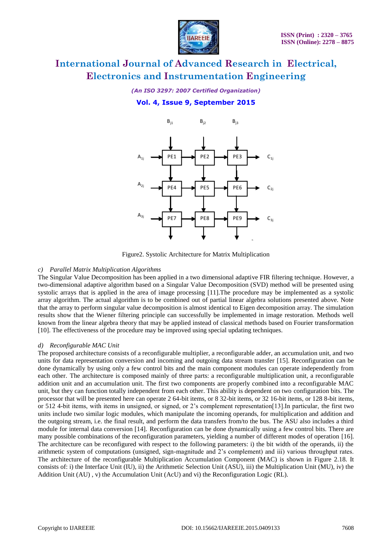

### *(An ISO 3297: 2007 Certified Organization)*

### **Vol. 4, Issue 9, September 2015**



Figure2. Systolic Architecture for Matrix Multiplication

### *c) Parallel Matrix Multiplication Algorithms*

The Singular Value Decomposition has been applied in a two dimensional adaptive FIR filtering technique. However, a two-dimensional adaptive algorithm based on a Singular Value Decomposition (SVD) method will be presented using systolic arrays that is applied in the area of image processing [11].The procedure may be implemented as a systolic array algorithm. The actual algorithm is to be combined out of partial linear algebra solutions presented above. Note that the array to perform singular value decomposition is almost identical to Eigen decomposition array. The simulation results show that the Wiener filtering principle can successfully be implemented in image restoration. Methods well known from the linear algebra theory that may be applied instead of classical methods based on Fourier transformation [10]. The effectiveness of the procedure may be improved using special updating techniques.

### *d) Reconfigurable MAC Unit*

The proposed architecture consists of a reconfigurable multiplier, a reconfigurable adder, an accumulation unit, and two units for data representation conversion and incoming and outgoing data stream transfer [15]. Reconfiguration can be done dynamically by using only a few control bits and the main component modules can operate independently from each other. The architecture is composed mainly of three parts: a reconfigurable multiplication unit, a reconfigurable addition unit and an accumulation unit. The first two components are properly combined into a reconfigurable MAC unit, but they can function totally independent from each other. This ability is dependent on two configuration bits. The processor that will be presented here can operate 2 64-bit items, or 8 32-bit items, or 32 16-bit items, or 128 8-bit items, or 512 4-bit items, with items in unsigned, or signed, or 2"s complement representation[13].In particular, the first two units include two similar logic modules, which manipulate the incoming operands, for multiplication and addition and the outgoing stream, i.e. the final result, and perform the data transfers from/to the bus. The ASU also includes a third module for internal data conversion [14]. Reconfiguration can be done dynamically using a few control bits. There are many possible combinations of the reconfiguration parameters, yielding a number of different modes of operation [16]. The architecture can be reconfigured with respect to the following parameters: i) the bit width of the operands, ii) the arithmetic system of computations (unsigned, sign-magnitude and 2"s complement) and iii) various throughput rates. The architecture of the reconfigurable Multiplication Accumulation Component (MAC) is shown in Figure 2.18. It consists of: i) the Interface Unit (IU), ii) the Arithmetic Selection Unit (ASU), iii) the Multiplication Unit (MU), iv) the Addition Unit (AU) , v) the Accumulation Unit (AcU) and vi) the Reconfiguration Logic (RL).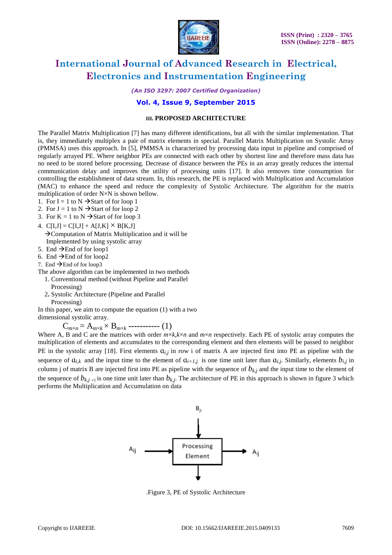

*(An ISO 3297: 2007 Certified Organization)*

### **Vol. 4, Issue 9, September 2015**

### **III. PROPOSED ARCHITECTURE**

The Parallel Matrix Multiplication [7] has many different identifications, but all with the similar implementation. That is, they immediately multiplex a pair of matrix elements in special. Parallel Matrix Multiplication on Systolic Array (PMMSA) uses this approach. In [5], PMMSA is characterized by processing data input in pipeline and comprised of regularly arrayed PE. Where neighbor PEs are connected with each other by shortest line and therefore mass data has no need to be stored before processing. Decrease of distance between the PEs in an array greatly reduces the internal communication delay and improves the utility of processing units [17]. It also removes time consumption for controlling the establishment of data stream. In, this research, the PE is replaced with Multiplication and Accumulation (MAC) to enhance the speed and reduce the complexity of Systolic Architecture. The algorithm for the matrix multiplication of order N×N is shown bellow.

- 1. For I = 1 to N  $\rightarrow$  Start of for loop 1
- 2. For  $J = 1$  to  $N \rightarrow$  Start of for loop 2
- 3. For  $K = 1$  to  $N \rightarrow$  Start of for loop 3
- 4.  $C[I,J] = C[I,J] + A[J,K] \times B[K,J]$ Computation of Matrix Multiplication and it will be Implemented by using systolic array
- 5. End  $\rightarrow$  End of for loop1
- 6. End  $\rightarrow$  End of for loop2
- 7. End  $\rightarrow$  End of for loop3

The above algorithm can be implemented in two methods

- 1. Conventional method (without Pipeline and Parallel
- Processing)
- 2**.** Systolic Architecture (Pipeline and Parallel Processing)

In this paper, we aim to compute the equation (1) with a two dimensional systolic array.

 $C_{m \times n} = A_{m \times k} \times B_{m \times k}$  **----------** (1)

Where A, B and C are the matrices with order  $m \times k$ ,  $k \times n$  and  $m \times n$  respectively. Each PE of systolic array computes the multiplication of elements and accumulates to the corresponding element and then elements will be passed to neighbor PE in the systolic array [18]. First elements  $a_{i,j}$  in row i of matrix A are injected first into PE as pipeline with the sequence of  $a_{i,k}$  and the input time to the element of  $a_{i+1,j}$  is one time unit later than  $a_{i,j}$ . Similarly, elements  $b_{i,j}$  in column j of matrix B are injected first into PE as pipeline with the sequence of  $b_{k,i}$  and the input time to the element of the sequence of  $b_{k,j+1}$  is one time unit later than  $b_{k,j}$ . The architecture of PE in this approach is shown in figure 3 which performs the Multiplication and Accumulation on data



.Figure 3, PE of Systolic Architecture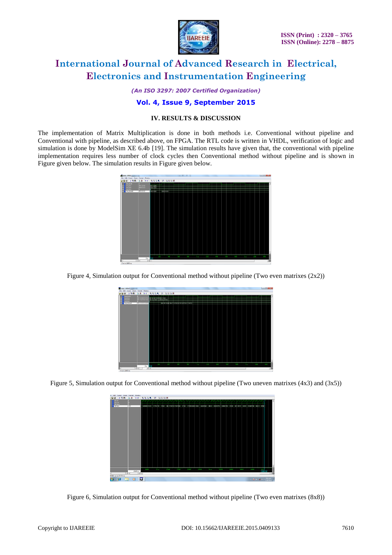

*(An ISO 3297: 2007 Certified Organization)*

### **Vol. 4, Issue 9, September 2015**

### **IV. RESULTS & DISCUSSION**

The implementation of Matrix Multiplication is done in both methods i.e. Conventional without pipeline and Conventional with pipeline, as described above, on FPGA. The RTL code is written in VHDL, verification of logic and simulation is done by ModelSim XE 6.4b [19]. The simulation results have given that, the conventional with pipeline implementation requires less number of clock cycles then Conventional method without pipeline and is shown in Figure given below. The simulation results in Figure given below.



Figure 4, Simulation output for Conventional method without pipeline (Two even matrixes (2x2))

| were - default important                    |             |                                                                |                                                  |                   |             |                        |                | $\log  \Theta $ |
|---------------------------------------------|-------------|----------------------------------------------------------------|--------------------------------------------------|-------------------|-------------|------------------------|----------------|-----------------|
| File Edit Cursor Zoom Format Window         |             |                                                                |                                                  |                   |             |                        |                |                 |
| #88   XBB   AX   ES   GGQQ   BI   BBB   K   |             |                                                                |                                                  |                   |             |                        |                |                 |
| <b>Door Brick</b><br>ind t/s<br>G.<br>ma bh | 00142790132 | 001412011050000200115000000<br><b>HARPHIDERE (\$10 BRE) IS</b> |                                                  |                   |             |                        |                |                 |
| /nat_fo/pod                                 |             |                                                                | <b>MARKET A PROTECTIVE OF A STATE OF A STATE</b> |                   |             |                        |                |                 |
|                                             |             |                                                                |                                                  |                   |             |                        |                | Ξ               |
|                                             | Drs         | त्रज्ञ                                                         | nia.<br><b>SECTION</b>                           | mm<br><b>TAYS</b> | <b>TEST</b> | 1600<br><b>TESTING</b> | mini 1<br>-220 | $-10$           |
| Ħ                                           | ज ज<br> 1   |                                                                |                                                  |                   |             |                        |                | зE              |
| 0 ns to 2495 ns                             |             |                                                                |                                                  |                   |             |                        |                |                 |
|                                             |             |                                                                |                                                  |                   |             |                        |                |                 |

Figure 5, Simulation output for Conventional method without pipeline (Two uneven matrixes (4x3) and (3x5))



Figure 6, Simulation output for Conventional method without pipeline (Two even matrixes (8x8))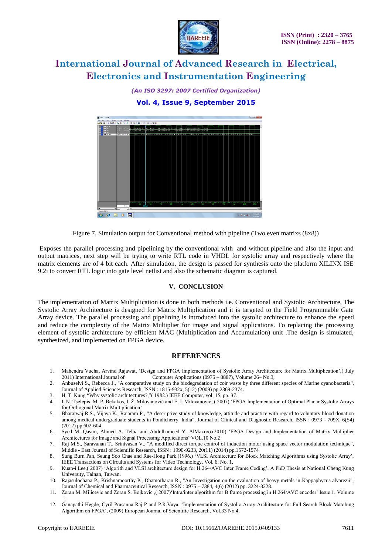

*(An ISO 3297: 2007 Certified Organization)* **Vol. 4, Issue 9, September 2015**



Figure 7, Simulation output for Conventional method with pipeline (Two even matrixs (8x8))

Exposes the parallel processing and pipelining by the conventional with and without pipeline and also the input and output matrices, next step will be trying to write RTL code in VHDL for systolic array and respectively where the matrix elements are of 4 bit each. After simulation, the design is passed for synthesis onto the platform XILINX ISE 9.2i to convert RTL logic into gate level netlist and also the schematic diagram is captured.

### **V. CONCLUSION**

The implementation of Matrix Multiplication is done in both methods i.e. Conventional and Systolic Architecture, The Systolic Array Architecture is designed for Matrix Multiplication and it is targeted to the Field Programmable Gate Array device. The parallel processing and pipelining is introduced into the systolic architecture to enhance the speed and reduce the complexity of the Matrix Multiplier for image and signal applications. To replacing the processing element of systolic architecture by efficient MAC (Multiplication and Accumulation) unit .The design is simulated, synthesized, and implemented on FPGA device.

### **REFERENCES**

- 1. Mahendra Vucha, Arvind Rajawat, "Design and FPGA Implementation of Systolic Array Architecture for Matrix Multiplication",( July 2011) International Journal of Computer Applications (0975 – 8887), Volume 26– No.3,
- 2. Anbuselvi S., Rebecca J., "A comparative study on the biodegradation of coir waste by three different species of Marine cyanobacteria", Journal of Applied Sciences Research, ISSN : 1815-932x, 5(12) (2009) pp.2369-2374.
- 3. H. T. Kung "Why systolic architectures?," (1982.) IEEE Computer, vol. 15, pp. 37. 4. I. N. Tselepis, M. P. Bekakos, I. Ž. Milovanović and E. I. Milovanović, (2007) 'FF
- 4. I. N. Tselepis, M. P. Bekakos, I. Ž. Milovanović and E. I. Milovanović, ( 2007) "FPGA Implementation of Optimal Planar Systolic Arrays for Orthogonal Matrix Multiplication"
- 5. Bharatwaj R.S., Vijaya K., Rajaram P., "A descriptive study of knowledge, attitude and practice with regard to voluntary blood donation among medical undergraduate students in Pondicherry, India", Journal of Clinical and Diagnostic Research, ISSN : 0973 - 709X, 6(S4) (2012) pp.602-604.
- 6. Syed M. Qasim, Ahmed A. Telba and Abdulhameed Y. AlMazroo,(2010) "FPGA Design and Implementation of Matrix Multiplier Architectures for Image and Signal Processing Applications" VOL.10 No.2
- 7. Raj M.S., Saravanan T., Srinivasan V., "A modified direct torque control of induction motor using space vector modulation technique", Middle - East Journal of Scientific Research, ISSN : 1990-9233, 20(11) (2014) pp.1572-1574
- 8. Sung Burn Pan, Seung Soo Chae and Rae-Hong Park,(1996.) "VLSI Architecture for Block Matching Algorithms using Systolic Array", IEEE Transactions on Circuits and Systems for Video Technology, Vol. 6, No. 1,
- 9. Kuan-i Lee,( 2007) "Algorith and VLSI architecture design for H.264/AVC Inter Frame Coding", A PhD Thesis at National Cheng Kung University, Tainan, Taiwan.
- 10. Rajasulochana P., Krishnamoorthy P., Dhamotharan R., "An Investigation on the evaluation of heavy metals in Kappaphycus alvarezii", Journal of Chemical and Pharmaceutical Research, ISSN : 0975 – 7384, 4(6) (2012) pp. 3224-3228.
- 11. Zoran M. Milicevic and Zoran S. Bojkovic ,( 2007)"Intra/inter algorithm for B frame processing in H.264/AVC encoder" Issue 1, Volume 1,
- 12. Ganapathi Hegde, Cyril Prasanna Raj P and P.R.Vaya, "Implementation of Systolic Array Architecture for Full Search Block Matching Algorithm on FPGA", (2009) European Journal of Scientific Research, Vol.33 No.4,